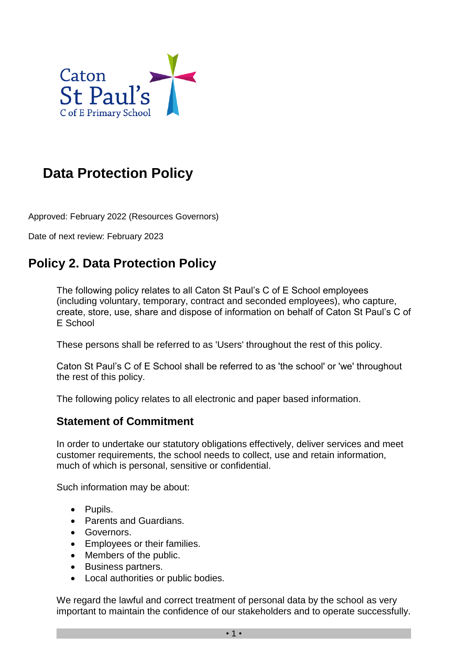

# **Data Protection Policy**

Approved: February 2022 (Resources Governors)

Date of next review: February 2023

# **Policy 2. Data Protection Policy**

The following policy relates to all Caton St Paul's C of E School employees (including voluntary, temporary, contract and seconded employees), who capture, create, store, use, share and dispose of information on behalf of Caton St Paul's C of E School

These persons shall be referred to as 'Users' throughout the rest of this policy.

Caton St Paul's C of E School shall be referred to as 'the school' or 'we' throughout the rest of this policy.

The following policy relates to all electronic and paper based information.

### **Statement of Commitment**

In order to undertake our statutory obligations effectively, deliver services and meet customer requirements, the school needs to collect, use and retain information, much of which is personal, sensitive or confidential.

Such information may be about:

- Pupils.
- Parents and Guardians.
- Governors.
- Employees or their families.
- Members of the public.
- Business partners.
- Local authorities or public bodies.

We regard the lawful and correct treatment of personal data by the school as very important to maintain the confidence of our stakeholders and to operate successfully.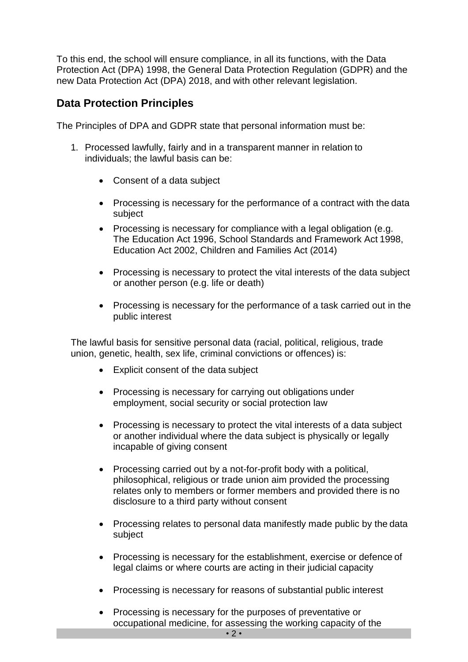To this end, the school will ensure compliance, in all its functions, with the Data Protection Act (DPA) 1998, the General Data Protection Regulation (GDPR) and the new Data Protection Act (DPA) 2018, and with other relevant legislation.

### **Data Protection Principles**

The Principles of DPA and GDPR state that personal information must be:

- 1. Processed lawfully, fairly and in a transparent manner in relation to individuals; the lawful basis can be:
	- Consent of a data subject
	- Processing is necessary for the performance of a contract with the data subject
	- Processing is necessary for compliance with a legal obligation (e.g. The Education Act 1996, School Standards and Framework Act 1998, Education Act 2002, Children and Families Act (2014)
	- Processing is necessary to protect the vital interests of the data subject or another person (e.g. life or death)
	- Processing is necessary for the performance of a task carried out in the public interest

The lawful basis for sensitive personal data (racial, political, religious, trade union, genetic, health, sex life, criminal convictions or offences) is:

- Explicit consent of the data subject
- Processing is necessary for carrying out obligations under employment, social security or social protection law
- Processing is necessary to protect the vital interests of a data subject or another individual where the data subject is physically or legally incapable of giving consent
- Processing carried out by a not-for-profit body with a political, philosophical, religious or trade union aim provided the processing relates only to members or former members and provided there is no disclosure to a third party without consent
- Processing relates to personal data manifestly made public by the data subject
- Processing is necessary for the establishment, exercise or defence of legal claims or where courts are acting in their judicial capacity
- Processing is necessary for reasons of substantial public interest
- Processing is necessary for the purposes of preventative or occupational medicine, for assessing the working capacity of the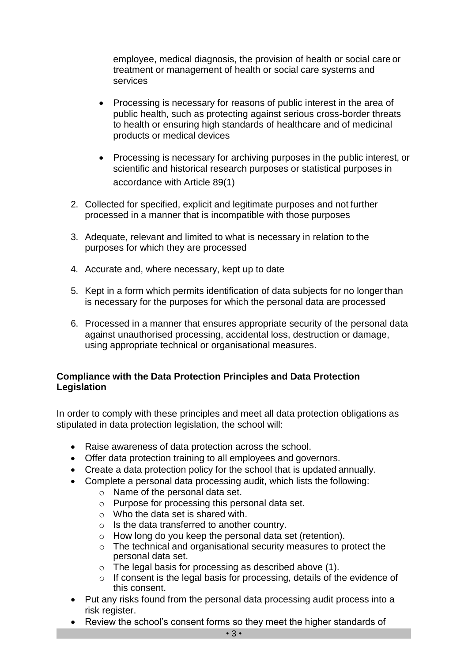employee, medical diagnosis, the provision of health or social care or treatment or management of health or social care systems and services

- Processing is necessary for reasons of public interest in the area of public health, such as protecting against serious cross-border threats to health or ensuring high standards of healthcare and of medicinal products or medical devices
- Processing is necessary for archiving purposes in the public interest, or scientific and historical research purposes or statistical purposes in accordance with Article 89(1)
- 2. Collected for specified, explicit and legitimate purposes and not further processed in a manner that is incompatible with those purposes
- 3. Adequate, relevant and limited to what is necessary in relation to the purposes for which they are processed
- 4. Accurate and, where necessary, kept up to date
- 5. Kept in a form which permits identification of data subjects for no longer than is necessary for the purposes for which the personal data are processed
- 6. Processed in a manner that ensures appropriate security of the personal data against unauthorised processing, accidental loss, destruction or damage, using appropriate technical or organisational measures.

#### **Compliance with the Data Protection Principles and Data Protection Legislation**

In order to comply with these principles and meet all data protection obligations as stipulated in data protection legislation, the school will:

- Raise awareness of data protection across the school.
- Offer data protection training to all employees and governors.
- Create a data protection policy for the school that is updated annually.
- Complete a personal data processing audit, which lists the following:
	- o Name of the personal data set.
	- o Purpose for processing this personal data set.
	- o Who the data set is shared with.
	- o Is the data transferred to another country.
	- o How long do you keep the personal data set (retention).
	- o The technical and organisational security measures to protect the personal data set.
	- o The legal basis for processing as described above (1).
	- o If consent is the legal basis for processing, details of the evidence of this consent.
- Put any risks found from the personal data processing audit process into a risk register.
- Review the school's consent forms so they meet the higher standards of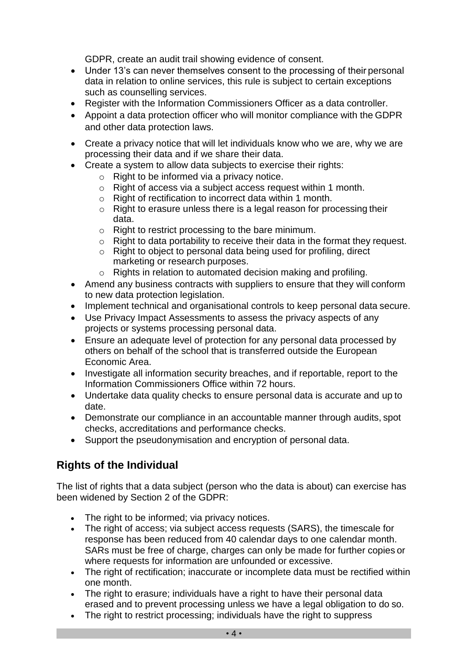GDPR, create an audit trail showing evidence of consent.

- Under 13's can never themselves consent to the processing of their personal data in relation to online services, this rule is subject to certain exceptions such as counselling services.
- Register with the Information Commissioners Officer as a data controller.
- Appoint a data protection officer who will monitor compliance with the GDPR and other data protection laws.
- Create a privacy notice that will let individuals know who we are, why we are processing their data and if we share their data.
- Create a system to allow data subjects to exercise their rights:
	- o Right to be informed via a privacy notice.
	- o Right of access via a subject access request within 1 month.
	- o Right of rectification to incorrect data within 1 month.
	- o Right to erasure unless there is a legal reason for processing their data.
	- o Right to restrict processing to the bare minimum.
	- o Right to data portability to receive their data in the format they request.
	- $\circ$  Right to object to personal data being used for profiling, direct marketing or research purposes.
	- o Rights in relation to automated decision making and profiling.
- Amend any business contracts with suppliers to ensure that they will conform to new data protection legislation.
- Implement technical and organisational controls to keep personal data secure.
- Use Privacy Impact Assessments to assess the privacy aspects of any projects or systems processing personal data.
- Ensure an adequate level of protection for any personal data processed by others on behalf of the school that is transferred outside the European Economic Area.
- Investigate all information security breaches, and if reportable, report to the Information Commissioners Office within 72 hours.
- Undertake data quality checks to ensure personal data is accurate and up to date.
- Demonstrate our compliance in an accountable manner through audits, spot checks, accreditations and performance checks.
- Support the pseudonymisation and encryption of personal data.

## **Rights of the Individual**

The list of rights that a data subject (person who the data is about) can exercise has been widened by Section 2 of the GDPR:

- The right to be informed; via privacy notices.
- The right of access; via subject access requests (SARS), the timescale for response has been reduced from 40 calendar days to one calendar month. SARs must be free of charge, charges can only be made for further copies or where requests for information are unfounded or excessive.
- The right of rectification; inaccurate or incomplete data must be rectified within one month.
- The right to erasure; individuals have a right to have their personal data erased and to prevent processing unless we have a legal obligation to do so.
- The right to restrict processing; individuals have the right to suppress